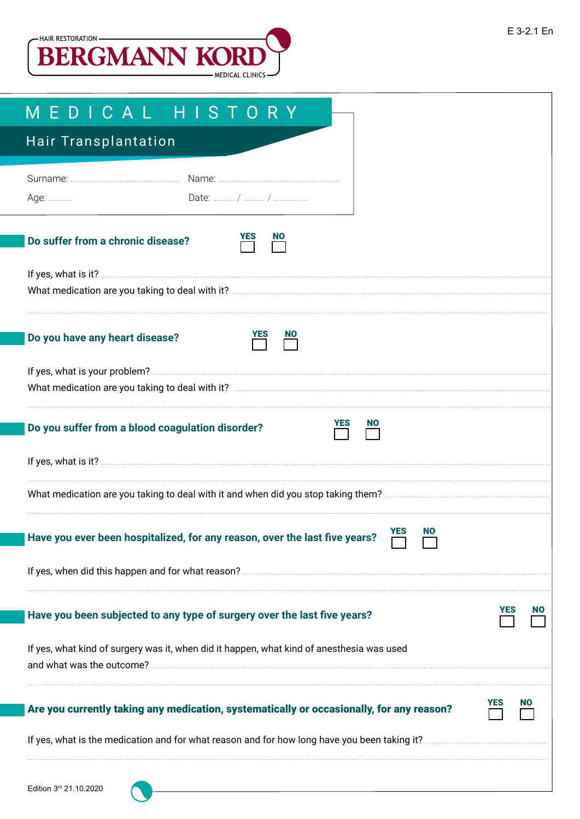

| MEDICAL HISTORY                                                                                                        |  |
|------------------------------------------------------------------------------------------------------------------------|--|
| Hair Transplantation                                                                                                   |  |
| Age:                                                                                                                   |  |
| Do suffer from a chronic disease?                                                                                      |  |
| What medication are you taking to deal with it? <b>Constitution</b> and the medication are you taking to deal with it? |  |
| Do you have any heart disease?                                                                                         |  |
|                                                                                                                        |  |
| <b>NO</b><br>Do you suffer from a blood coagulation disorder?                                                          |  |
|                                                                                                                        |  |
| What medication are you taking to deal with it and when did you stop taking them?                                      |  |
| <b>YES</b><br><b>NO</b><br>Have you ever been hospitalized, for any reason, over the last five years?                  |  |
|                                                                                                                        |  |
| Have you been subjected to any type of surgery over the last five years?                                               |  |
| If yes, what kind of surgery was it, when did it happen, what kind of anesthesia was used                              |  |
| Are you currently taking any medication, systematically or occasionally, for any reason?                               |  |
|                                                                                                                        |  |
| Edition 3rd 21.10.2020                                                                                                 |  |